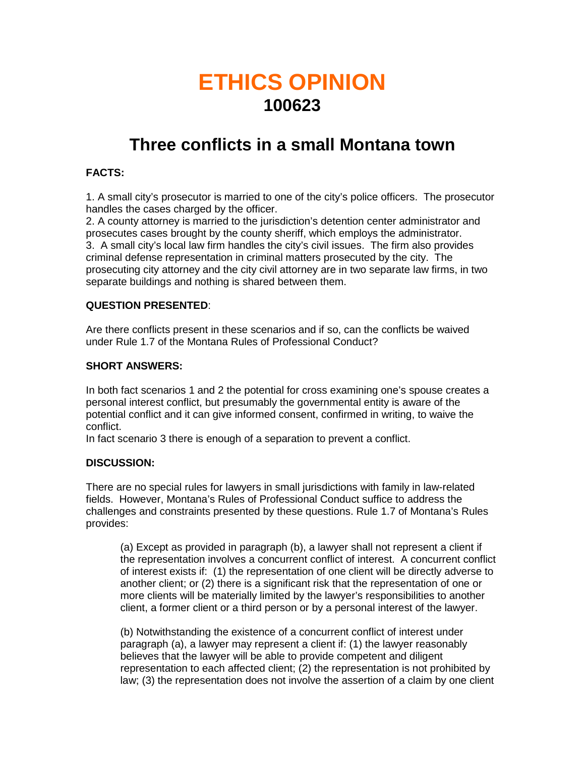# **ETHICS OPINION 100623**

# **Three conflicts in a small Montana town**

## **FACTS:**

1. A small city's prosecutor is married to one of the city's police officers. The prosecutor handles the cases charged by the officer.

2. A county attorney is married to the jurisdiction's detention center administrator and prosecutes cases brought by the county sheriff, which employs the administrator. 3. A small city's local law firm handles the city's civil issues. The firm also provides criminal defense representation in criminal matters prosecuted by the city. The prosecuting city attorney and the city civil attorney are in two separate law firms, in two separate buildings and nothing is shared between them.

### **QUESTION PRESENTED**:

Are there conflicts present in these scenarios and if so, can the conflicts be waived under Rule 1.7 of the Montana Rules of Professional Conduct?

#### **SHORT ANSWERS:**

In both fact scenarios 1 and 2 the potential for cross examining one's spouse creates a personal interest conflict, but presumably the governmental entity is aware of the potential conflict and it can give informed consent, confirmed in writing, to waive the conflict.

In fact scenario 3 there is enough of a separation to prevent a conflict.

### **DISCUSSION:**

There are no special rules for lawyers in small jurisdictions with family in law-related fields. However, Montana's Rules of Professional Conduct suffice to address the challenges and constraints presented by these questions. Rule 1.7 of Montana's Rules provides:

(a) Except as provided in paragraph (b), a lawyer shall not represent a client if the representation involves a concurrent conflict of interest. A concurrent conflict of interest exists if: (1) the representation of one client will be directly adverse to another client; or (2) there is a significant risk that the representation of one or more clients will be materially limited by the lawyer's responsibilities to another client, a former client or a third person or by a personal interest of the lawyer.

(b) Notwithstanding the existence of a concurrent conflict of interest under paragraph (a), a lawyer may represent a client if: (1) the lawyer reasonably believes that the lawyer will be able to provide competent and diligent representation to each affected client; (2) the representation is not prohibited by law; (3) the representation does not involve the assertion of a claim by one client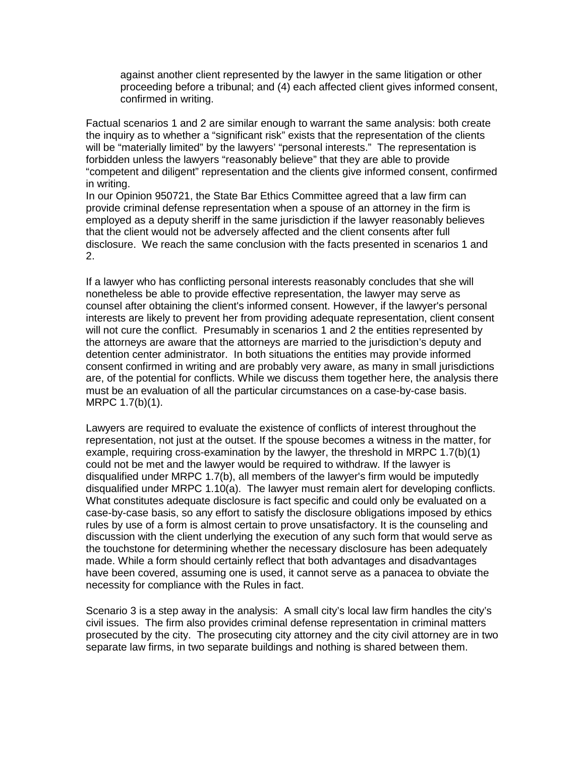against another client represented by the lawyer in the same litigation or other proceeding before a tribunal; and (4) each affected client gives informed consent, confirmed in writing.

Factual scenarios 1 and 2 are similar enough to warrant the same analysis: both create the inquiry as to whether a "significant risk" exists that the representation of the clients will be "materially limited" by the lawyers' "personal interests." The representation is forbidden unless the lawyers "reasonably believe" that they are able to provide "competent and diligent" representation and the clients give informed consent, confirmed in writing.

In our Opinion 950721, the State Bar Ethics Committee agreed that a law firm can provide criminal defense representation when a spouse of an attorney in the firm is employed as a deputy sheriff in the same jurisdiction if the lawyer reasonably believes that the client would not be adversely affected and the client consents after full disclosure. We reach the same conclusion with the facts presented in scenarios 1 and 2.

If a lawyer who has conflicting personal interests reasonably concludes that she will nonetheless be able to provide effective representation, the lawyer may serve as counsel after obtaining the client's informed consent. However, if the lawyer's personal interests are likely to prevent her from providing adequate representation, client consent will not cure the conflict. Presumably in scenarios 1 and 2 the entities represented by the attorneys are aware that the attorneys are married to the jurisdiction's deputy and detention center administrator. In both situations the entities may provide informed consent confirmed in writing and are probably very aware, as many in small jurisdictions are, of the potential for conflicts. While we discuss them together here, the analysis there must be an evaluation of all the particular circumstances on a case-by-case basis. MRPC 1.7(b)(1).

Lawyers are required to evaluate the existence of conflicts of interest throughout the representation, not just at the outset. If the spouse becomes a witness in the matter, for example, requiring cross-examination by the lawyer, the threshold in MRPC 1.7(b)(1) could not be met and the lawyer would be required to withdraw. If the lawyer is disqualified under MRPC 1.7(b), all members of the lawyer's firm would be imputedly disqualified under MRPC 1.10(a). The lawyer must remain alert for developing conflicts. What constitutes adequate disclosure is fact specific and could only be evaluated on a case-by-case basis, so any effort to satisfy the disclosure obligations imposed by ethics rules by use of a form is almost certain to prove unsatisfactory. It is the counseling and discussion with the client underlying the execution of any such form that would serve as the touchstone for determining whether the necessary disclosure has been adequately made. While a form should certainly reflect that both advantages and disadvantages have been covered, assuming one is used, it cannot serve as a panacea to obviate the necessity for compliance with the Rules in fact.

Scenario 3 is a step away in the analysis: A small city's local law firm handles the city's civil issues. The firm also provides criminal defense representation in criminal matters prosecuted by the city. The prosecuting city attorney and the city civil attorney are in two separate law firms, in two separate buildings and nothing is shared between them.